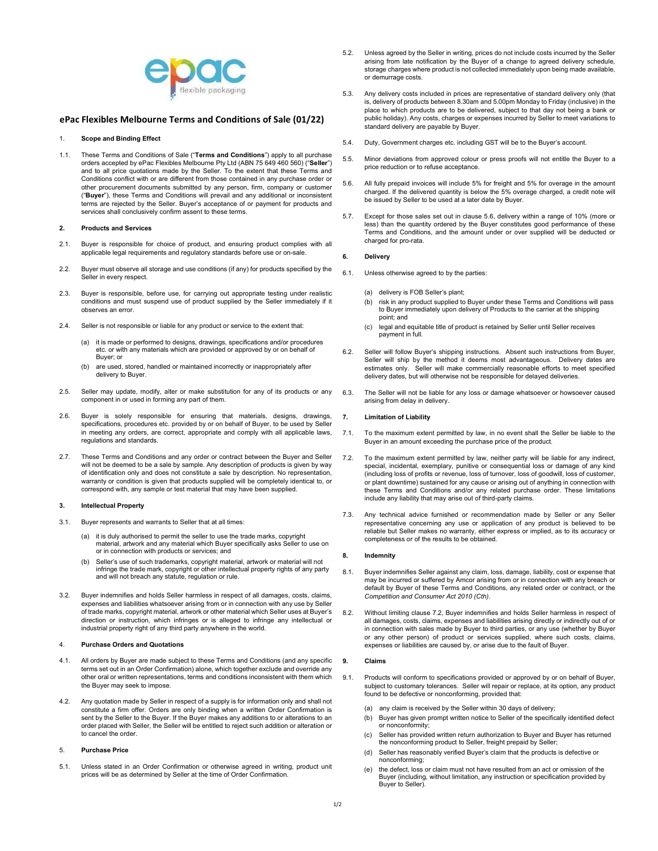

# ePac Flexibles Melbourne Terms and Conditions of Sale (01/22)

#### 1. Scope and Binding Effect

1.1. These Terms and Conditions of Sale ("Terms and Conditions") apply to all purchase orders accepted by ePac Flexibles Melbourne Pty Ltd (ABN 75 649 460 560) ("Seller") and to all price quotations made by the Seller. To the extent that these Terms and Conditions conflict with or are different from those contained in any purchase order or other procurement documents submitted by any person, firm, company or customer ("Buyer"), these Terms and Conditions will prevail and any additional or inconsistent terms are rejected by the Seller. Buyer's acceptance of or payment for products and services shall conclusively confirm assent to these terms.

## 2. Products and Services

- 2.1. Buyer is responsible for choice of product, and ensuring product complies with all applicable legal requirements and regulatory standards before use or on-sale.
- 2.2. Buyer must observe all storage and use conditions (if any) for products specified by the Seller in every respect.
- 2.3. Buyer is responsible, before use, for carrying out appropriate testing under realistic conditions and must suspend use of product supplied by the Seller immediately if it observes an error.
- 2.4. Seller is not responsible or liable for any product or service to the extent that:
	- (a) it is made or performed to designs, drawings, specifications and/or procedures etc. or with any materials which are provided or approved by or on behalf of Buyer; or
	- (b) are used, stored, handled or maintained incorrectly or inappropriately after delivery to Buyer.
- 2.5. Seller may update, modify, alter or make substitution for any of its products or any component in or used in forming any part of them.
- 2.6. Buyer is solely responsible for ensuring that materials, designs, drawings, specifications, procedures etc. provided by or on behalf of Buyer, to be used by Seller in meeting any orders, are correct, appropriate and comply with all applicable laws, regulations and standards.
- 2.7. These Terms and Conditions and any order or contract between the Buyer and Seller will not be deemed to be a sale by sample. Any description of products is given by way of identification only and does not constitute a sale by description. No representation, warranty or condition is given that products supplied will be completely identical to, or correspond with, any sample or test material that may have been supplied.

## 3. Intellectual Property

- 3.1. Buyer represents and warrants to Seller that at all times:
	- (a) it is duly authorised to permit the seller to use the trade marks, copyright material, artwork and any material which Buyer specifically asks Seller to use on or in connection with products or services; and
	- (b) Seller's use of such trademarks, copyright material, artwork or material will not infringe the trade mark, copyright or other intellectual property rights of any party and will not breach any statute, regulation or rule.
- 3.2. Buyer indemnifies and holds Seller harmless in respect of all damages, costs, claims, expenses and liabilities whatsoever arising from or in connection with any use by Seller of trade marks, copyright material, artwork or other material which Seller uses at Buyer's direction or instruction, which infringes or is alleged to infringe any intellectual or industrial property right of any third party anywhere in the world.

## 4. Purchase Orders and Quotations

- 4.1. All orders by Buyer are made subject to these Terms and Conditions (and any specific terms set out in an Order Confirmation) alone, which together exclude and override any other oral or written representations, terms and conditions inconsistent with them which the Buyer may seek to impose.
- 4.2. Any quotation made by Seller in respect of a supply is for information only and shall not constitute a firm offer. Orders are only binding when a written Order Confirmation is sent by the Seller to the Buyer. If the Buyer makes any additions to or alterations to an order placed with Seller, the Seller will be entitled to reject such addition or alteration or to cancel the order.

#### 5. Purchase Price

5.1. Unless stated in an Order Confirmation or otherwise agreed in writing, product unit prices will be as determined by Seller at the time of Order Confirmation.

- 5.2. Unless agreed by the Seller in writing, prices do not include costs incurred by the Seller arising from late notification by the Buyer of a change to agreed delivery schedule, storage charges where product is not collected immediately upon being made available, or demurrage costs.
- 5.3. Any delivery costs included in prices are representative of standard delivery only (that is, delivery of products between 8.30am and 5.00pm Monday to Friday (inclusive) in the place to which products are to be delivered, subject to that day not being a bank or public holiday). Any costs, charges or expenses incurred by Seller to meet variations to standard delivery are payable by Buyer.
- 5.4. Duty, Government charges etc. including GST will be to the Buyer's account.
- 5.5. Minor deviations from approved colour or press proofs will not entitle the Buyer to a price reduction or to refuse acceptance.
- 5.6. All fully prepaid invoices will include 5% for freight and 5% for overage in the amount charged. If the delivered quantity is below the 5% overage charged, a credit note will be issued by Seller to be used at a later date by Buyer.
- 5.7. Except for those sales set out in clause 5.6, delivery within a range of 10% (more or less) than the quantity ordered by the Buyer constitutes good performance of these Terms and Conditions, and the amount under or over supplied will be deducted or charged for pro-rata.

#### 6. Delivery

- 6.1. Unless otherwise agreed to by the parties:
	- (a) delivery is FOB Seller's plant;
	- (b) risk in any product supplied to Buyer under these Terms and Conditions will pass to Buyer immediately upon delivery of Products to the carrier at the shipping point; and
	- (c) legal and equitable title of product is retained by Seller until Seller receives payment in full.
- 6.2. Seller will follow Buyer's shipping instructions. Absent such instructions from Buyer, Seller will ship by the method it deems most advantageous. Delivery dates are estimates only. Seller will make commercially reasonable efforts to meet specified delivery dates, but will otherwise not be responsible for delayed deliveries.
- 6.3. The Seller will not be liable for any loss or damage whatsoever or howsoever caused arising from delay in delivery.

## 7. Limitation of Liability

- 7.1. To the maximum extent permitted by law, in no event shall the Seller be liable to the Buyer in an amount exceeding the purchase price of the product.
- 7.2. To the maximum extent permitted by law, neither party will be liable for any indirect, special, incidental, exemplary, punitive or consequential loss or damage of any kind (including loss of profits or revenue, loss of turnover, loss of goodwill, loss of customer, or plant downtime) sustained for any cause or arising out of anything in connection with these Terms and Conditions and/or any related purchase order. These limitations include any liability that may arise out of third-party claims.
- 7.3. Any technical advice furnished or recommendation made by Seller or any Seller representative concerning any use or application of any product is believed to be reliable but Seller makes no warranty, either express or implied, as to its accuracy or completeness or of the results to be obtained.

#### 8. Indemnity

- 8.1. Buyer indemnifies Seller against any claim, loss, damage, liability, cost or expense that may be incurred or suffered by Amcor arising from or in connection with any breach or default by Buyer of these Terms and Conditions, any related order or contract, or the Competition and Consumer Act 2010 (Cth).
- 8.2. Without limiting clause 7.2, Buyer indemnifies and holds Seller harmless in respect of all damages, costs, claims, expenses and liabilities arising directly or indirectly out of or in connection with sales made by Buyer to third parties, or any use (whether by Buyer or any other person) of product or services supplied, where such costs, claims, expenses or liabilities are caused by, or arise due to the fault of Buyer.

#### 9. Claims

- 9.1. Products will conform to specifications provided or approved by or on behalf of Buyer, subject to customary tolerances. Seller will repair or replace, at its option, any product found to be defective or nonconforming, provided that:
	- (a) any claim is received by the Seller within 30 days of delivery;
	- (b) Buyer has given prompt written notice to Seller of the specifically identified defect or nonconformity;
	- (c) Seller has provided written return authorization to Buyer and Buyer has returned the nonconforming product to Seller, freight prepaid by Seller;
	- (d) Seller has reasonably verified Buyer's claim that the products is defective or nonconforming;
	- the defect, loss or claim must not have resulted from an act or omission of the Buyer (including, without limitation, any instruction or specification provided by Buyer to Seller).